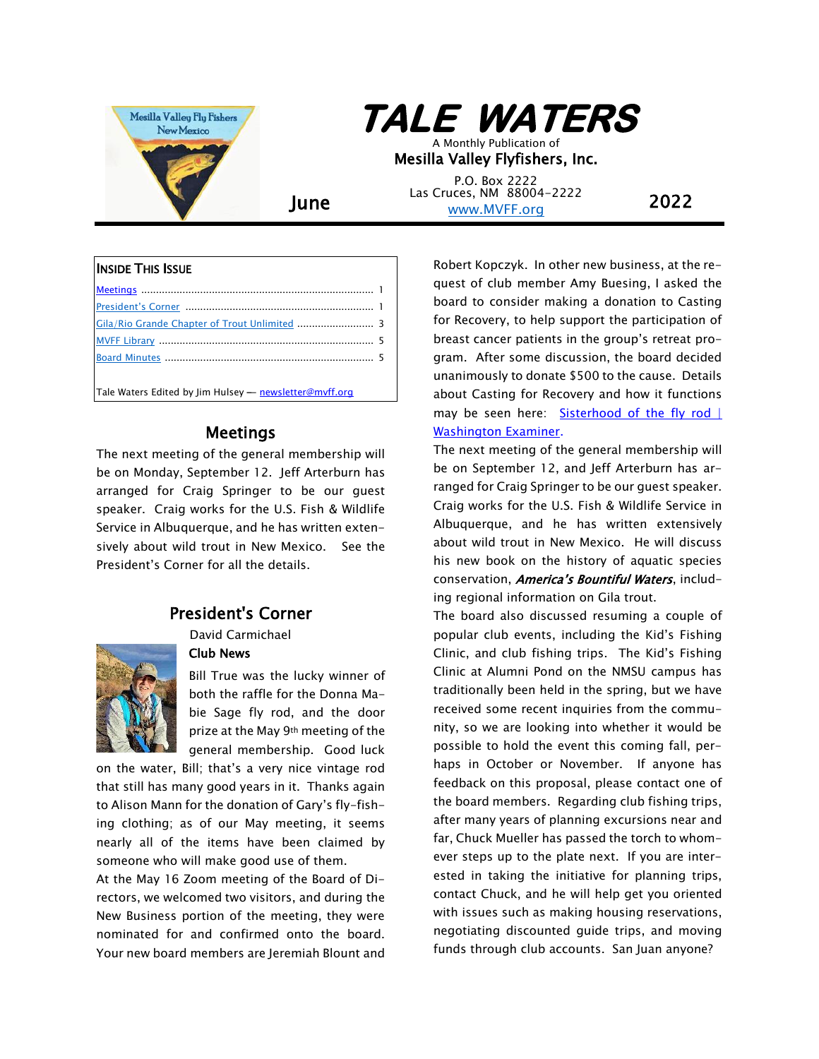

# **TALE WATERS**

A Monthly Publication of Mesilla Valley Flyfishers, Inc.

**June** Las Cruces, NM 88004-2222 **2022** P.O. Box 2222 [www.MVFF.org](http://www.mvff.org/)

#### <span id="page-0-2"></span>INSIDE THIS ISSUE

| Tale Waters Edited by Jim Hulsey - newsletter@mvff.org |  |
|--------------------------------------------------------|--|

## Meetings

<span id="page-0-0"></span>The next meeting of the general membership will be on Monday, September 12. Jeff Arterburn has arranged for Craig Springer to be our guest speaker. Craig works for the U.S. Fish & Wildlife Service in Albuquerque, and he has written extensively about wild trout in New Mexico. See the President's Corner for all the details.

# President's Corner

David Carmichael

#### Club News

<span id="page-0-1"></span>

Bill True was the lucky winner of both the raffle for the Donna Mabie Sage fly rod, and the door prize at the May 9th meeting of the general membership. Good luck

on the water, Bill; that's a very nice vintage rod that still has many good years in it. Thanks again to Alison Mann for the donation of Gary's fly-fishing clothing; as of our May meeting, it seems nearly all of the items have been claimed by someone who will make good use of them.

At the May 16 Zoom meeting of the Board of Directors, we welcomed two visitors, and during the New Business portion of the meeting, they were nominated for and confirmed onto the board. Your new board members are Jeremiah Blount and Robert Kopczyk. In other new business, at the request of club member Amy Buesing, I asked the board to consider making a donation to Casting for Recovery, to help support the participation of breast cancer patients in the group's retreat program. After some discussion, the board decided unanimously to donate \$500 to the cause. Details about Casting for Recovery and how it functions may be seen here: Sisterhood of the fly rod | [Washington Examiner.](https://www.washingtonexaminer.com/opinion/columnists/sisterhood-of-the-fly-rod?utm_source=msn&utm_medium=referral&utm_campaign=msn_feed)

The next meeting of the general membership will be on September 12, and Jeff Arterburn has arranged for Craig Springer to be our guest speaker. Craig works for the U.S. Fish & Wildlife Service in Albuquerque, and he has written extensively about wild trout in New Mexico. He will discuss his new book on the history of aquatic species conservation, *America's Bountiful Waters*, including regional information on Gila trout.

The board also discussed resuming a couple of popular club events, including the Kid's Fishing Clinic, and club fishing trips. The Kid's Fishing Clinic at Alumni Pond on the NMSU campus has traditionally been held in the spring, but we have received some recent inquiries from the community, so we are looking into whether it would be possible to hold the event this coming fall, perhaps in October or November. If anyone has feedback on this proposal, please contact one of the board members. Regarding club fishing trips, after many years of planning excursions near and far, Chuck Mueller has passed the torch to whomever steps up to the plate next. If you are interested in taking the initiative for planning trips, contact Chuck, and he will help get you oriented with issues such as making housing reservations, negotiating discounted guide trips, and moving funds through club accounts. San Juan anyone?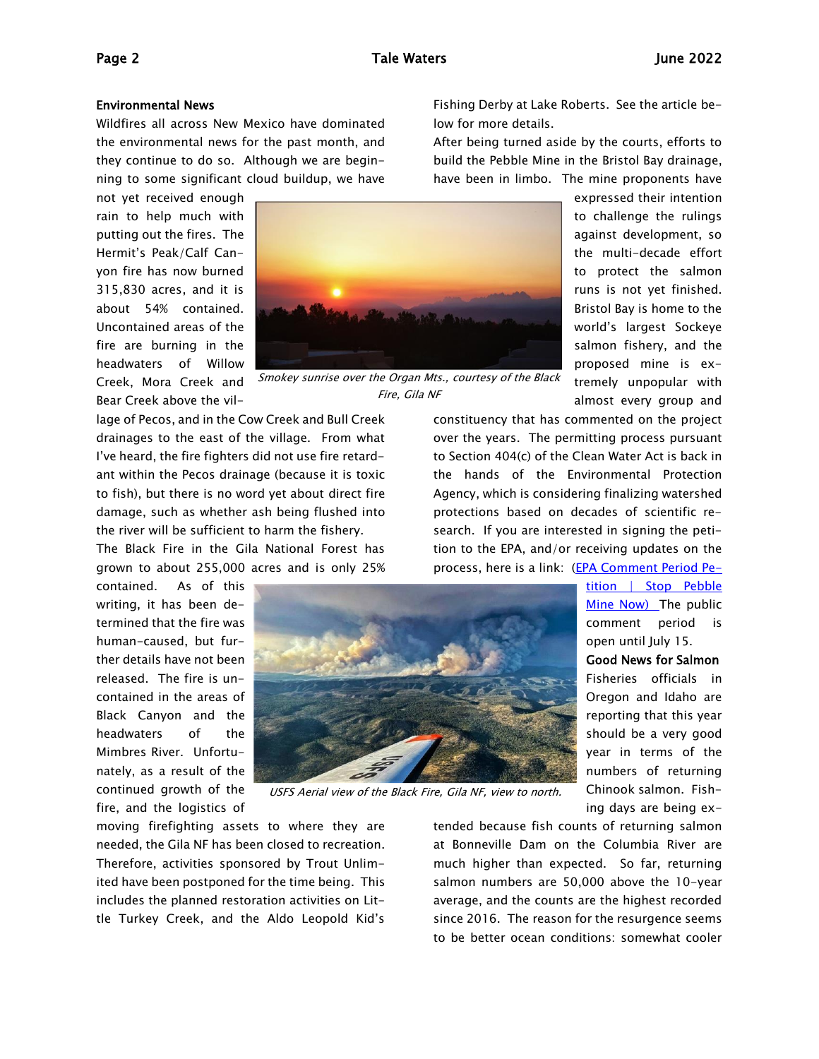#### Environmental News

Wildfires all across New Mexico have dominated the environmental news for the past month, and they continue to do so. Although we are beginning to some significant cloud buildup, we have

not yet received enough rain to help much with putting out the fires. The Hermit's Peak/Calf Canyon fire has now burned 315,830 acres, and it is about 54% contained. Uncontained areas of the fire are burning in the headwaters of Willow Bear Creek above the vil-



Creek, Mora Creek and Smokey sunrise over the Organ Mts., courtesy of the Black Fire, Gila NF

lage of Pecos, and in the Cow Creek and Bull Creek drainages to the east of the village. From what I've heard, the fire fighters did not use fire retardant within the Pecos drainage (because it is toxic to fish), but there is no word yet about direct fire damage, such as whether ash being flushed into the river will be sufficient to harm the fishery.

The Black Fire in the Gila National Forest has grown to about 255,000 acres and is only 25%

contained. As of this writing, it has been determined that the fire was human-caused, but further details have not been released. The fire is uncontained in the areas of Black Canyon and the headwaters of the Mimbres River. Unfortunately, as a result of the continued growth of the fire, and the logistics of



USFS Aerial view of the Black Fire, Gila NF, view to north.

moving firefighting assets to where they are needed, the Gila NF has been closed to recreation. Therefore, activities sponsored by Trout Unlimited have been postponed for the time being. This includes the planned restoration activities on Little Turkey Creek, and the Aldo Leopold Kid's Fishing Derby at Lake Roberts. See the article below for more details.

After being turned aside by the courts, efforts to build the Pebble Mine in the Bristol Bay drainage, have been in limbo. The mine proponents have

> expressed their intention to challenge the rulings against development, so the multi-decade effort to protect the salmon runs is not yet finished. Bristol Bay is home to the world's largest Sockeye salmon fishery, and the proposed mine is extremely unpopular with almost every group and

constituency that has commented on the project over the years. The permitting process pursuant to Section 404(c) of the Clean Water Act is back in the hands of the Environmental Protection Agency, which is considering finalizing watershed protections based on decades of scientific research. If you are interested in signing the petition to the EPA, and/or receiving updates on the process, here is a link: [\(EPA Comment Period Pe-](https://stoppebbleminenow.org/epa-comment-period-petition/)

> [tition | Stop Pebble](https://stoppebbleminenow.org/epa-comment-period-petition/)  [Mine Now\)](https://stoppebbleminenow.org/epa-comment-period-petition/) The public comment period is open until July 15.

> Good News for Salmon Fisheries officials in Oregon and Idaho are reporting that this year should be a very good year in terms of the numbers of returning Chinook salmon. Fishing days are being ex-

tended because fish counts of returning salmon at Bonneville Dam on the Columbia River are much higher than expected. So far, returning salmon numbers are 50,000 above the 10-year average, and the counts are the highest recorded since 2016. The reason for the resurgence seems to be better ocean conditions: somewhat cooler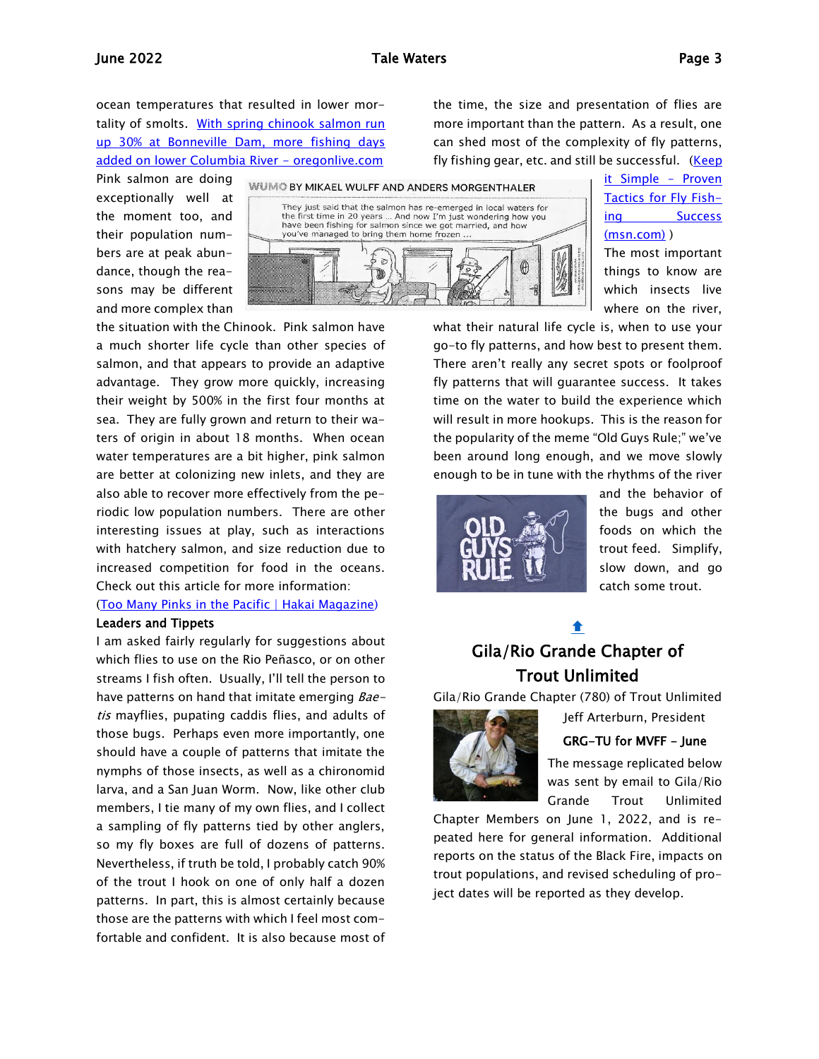ocean temperatures that resulted in lower mortality of smolts. [With spring chinook salmon run](https://www.oregonlive.com/sports/2022/05/with-spring-chinook-salmon-run-up-30-at-bonneville-dam-more-fishing-days-added-on-lower-columbia-river.html)  up 30% at Bonneville Dam, more fishing days [added on lower Columbia River -](https://www.oregonlive.com/sports/2022/05/with-spring-chinook-salmon-run-up-30-at-bonneville-dam-more-fishing-days-added-on-lower-columbia-river.html) oregonlive.com

the time, the size and presentation of flies are more important than the pattern. As a result, one can shed most of the complexity of fly patterns, fly fishing gear, etc. and still be successful. (Keep

Pink salmon are doing exceptionally well at the moment too, and their population numbers are at peak abundance, though the reasons may be different and more complex than



the situation with the Chinook. Pink salmon have a much shorter life cycle than other species of salmon, and that appears to provide an adaptive advantage. They grow more quickly, increasing their weight by 500% in the first four months at sea. They are fully grown and return to their waters of origin in about 18 months. When ocean water temperatures are a bit higher, pink salmon are better at colonizing new inlets, and they are also able to recover more effectively from the periodic low population numbers. There are other interesting issues at play, such as interactions with hatchery salmon, and size reduction due to increased competition for food in the oceans. Check out this article for more information:

#### [\(Too Many Pinks in the Pacific | Hakai Magazine\)](https://hakaimagazine.com/features/too-many-pinks-in-the-pacific/)

#### Leaders and Tippets

I am asked fairly regularly for suggestions about which flies to use on the Rio Peñasco, or on other streams I fish often. Usually, I'll tell the person to have patterns on hand that imitate emerging Baetis mayflies, pupating caddis flies, and adults of those bugs. Perhaps even more importantly, one should have a couple of patterns that imitate the nymphs of those insects, as well as a chironomid larva, and a San Juan Worm. Now, like other club members, I tie many of my own flies, and I collect a sampling of fly patterns tied by other anglers, so my fly boxes are full of dozens of patterns. Nevertheless, if truth be told, I probably catch 90% of the trout I hook on one of only half a dozen patterns. In part, this is almost certainly because those are the patterns with which I feel most comfortable and confident. It is also because most of [it Simple](https://www.msn.com/en-us/news/technology/keep-it-simple-proven-tactics-for-fly-fishing-success/ar-AAXTqWI?ocid=weather-verthp-feeds) – Proven [Tactics for Fly Fish](https://www.msn.com/en-us/news/technology/keep-it-simple-proven-tactics-for-fly-fishing-success/ar-AAXTqWI?ocid=weather-verthp-feeds)[ing Success](https://www.msn.com/en-us/news/technology/keep-it-simple-proven-tactics-for-fly-fishing-success/ar-AAXTqWI?ocid=weather-verthp-feeds)  [\(msn.com\)](https://www.msn.com/en-us/news/technology/keep-it-simple-proven-tactics-for-fly-fishing-success/ar-AAXTqWI?ocid=weather-verthp-feeds) ) The most important

things to know are which insects live where on the river,

what their natural life cycle is, when to use your go-to fly patterns, and how best to present them. There aren't really any secret spots or foolproof fly patterns that will guarantee success. It takes time on the water to build the experience which will result in more hookups. This is the reason for the popularity of the meme "Old Guys Rule;" we've been around long enough, and we move slowly enough to be in tune with the rhythms of the river



and the behavior of the bugs and other foods on which the trout feed. Simplify, slow down, and go catch some trout.

# <span id="page-2-0"></span>↟ Gila/Rio Grande Chapter of Trout Unlimited

Gila/Rio Grande Chapter (780) of Trout Unlimited



Jeff Arterburn, President GRG-TU for MVFF - June

The message replicated below was sent by email to Gila/Rio Grande Trout Unlimited

Chapter Members on June 1, 2022, and is repeated here for general information. Additional reports on the status of the Black Fire, impacts on trout populations, and revised scheduling of project dates will be reported as they develop.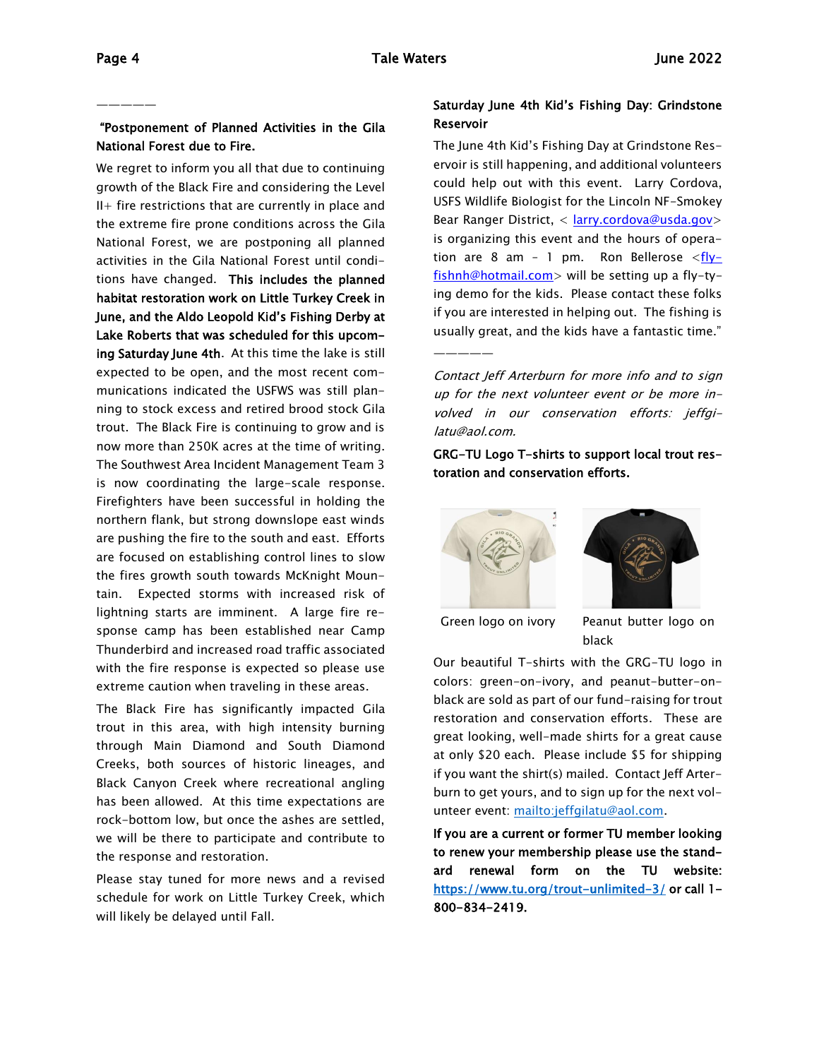—————

### "Postponement of Planned Activities in the Gila National Forest due to Fire.

We regret to inform you all that due to continuing growth of the Black Fire and considering the Level II+ fire restrictions that are currently in place and the extreme fire prone conditions across the Gila National Forest, we are postponing all planned activities in the Gila National Forest until conditions have changed. This includes the planned habitat restoration work on Little Turkey Creek in June, and the Aldo Leopold Kid's Fishing Derby at Lake Roberts that was scheduled for this upcoming Saturday June 4th. At this time the lake is still expected to be open, and the most recent communications indicated the USFWS was still planning to stock excess and retired brood stock Gila trout. The Black Fire is continuing to grow and is now more than 250K acres at the time of writing. The Southwest Area Incident Management Team 3 is now coordinating the large-scale response. Firefighters have been successful in holding the northern flank, but strong downslope east winds are pushing the fire to the south and east. Efforts are focused on establishing control lines to slow the fires growth south towards McKnight Mountain. Expected storms with increased risk of lightning starts are imminent. A large fire response camp has been established near Camp Thunderbird and increased road traffic associated with the fire response is expected so please use extreme caution when traveling in these areas.

The Black Fire has significantly impacted Gila trout in this area, with high intensity burning through Main Diamond and South Diamond Creeks, both sources of historic lineages, and Black Canyon Creek where recreational angling has been allowed. At this time expectations are rock-bottom low, but once the ashes are settled, we will be there to participate and contribute to the response and restoration.

Please stay tuned for more news and a revised schedule for work on Little Turkey Creek, which will likely be delayed until Fall.

### Saturday June 4th Kid's Fishing Day: Grindstone Reservoir

The June 4th Kid's Fishing Day at Grindstone Reservoir is still happening, and additional volunteers could help out with this event. Larry Cordova, USFS Wildlife Biologist for the Lincoln NF-Smokey Bear Ranger District, < [larry.cordova@usda.gov>](mailto:larry.cordova@usda.gov) is organizing this event and the hours of operation are 8 am - 1 pm. Ron Bellerose  $\langle f|y-\rangle$ [fishnh@hotmail.com>](mailto:flyfishnh@hotmail.com) will be setting up a fly-tying demo for the kids. Please contact these folks if you are interested in helping out. The fishing is usually great, and the kids have a fantastic time."

Contact Jeff Arterburn for more info and to sign up for the next volunteer event or be more involved in our conservation efforts: jeffgilatu@aol.com.

GRG-TU Logo T-shirts to support local trout restoration and conservation efforts.



—————



Green logo on ivory Peanut butter logo on black

Our beautiful T-shirts with the GRG-TU logo in colors: green-on-ivory, and peanut-butter-onblack are sold as part of our fund-raising for trout restoration and conservation efforts. These are great looking, well-made shirts for a great cause at only \$20 each. Please include \$5 for shipping if you want the shirt(s) mailed. Contact Jeff Arterburn to get yours, and to sign up for the next volunteer event: [mailto:jeffgilatu@aol.com.](mailto:jeffgilatu@aol.com)

If you are a current or former TU member looking to renew your membership please use the standard renewal form on the TU website: <https://www.tu.org/trout-unlimited-3/>or call 1-800-834-2419.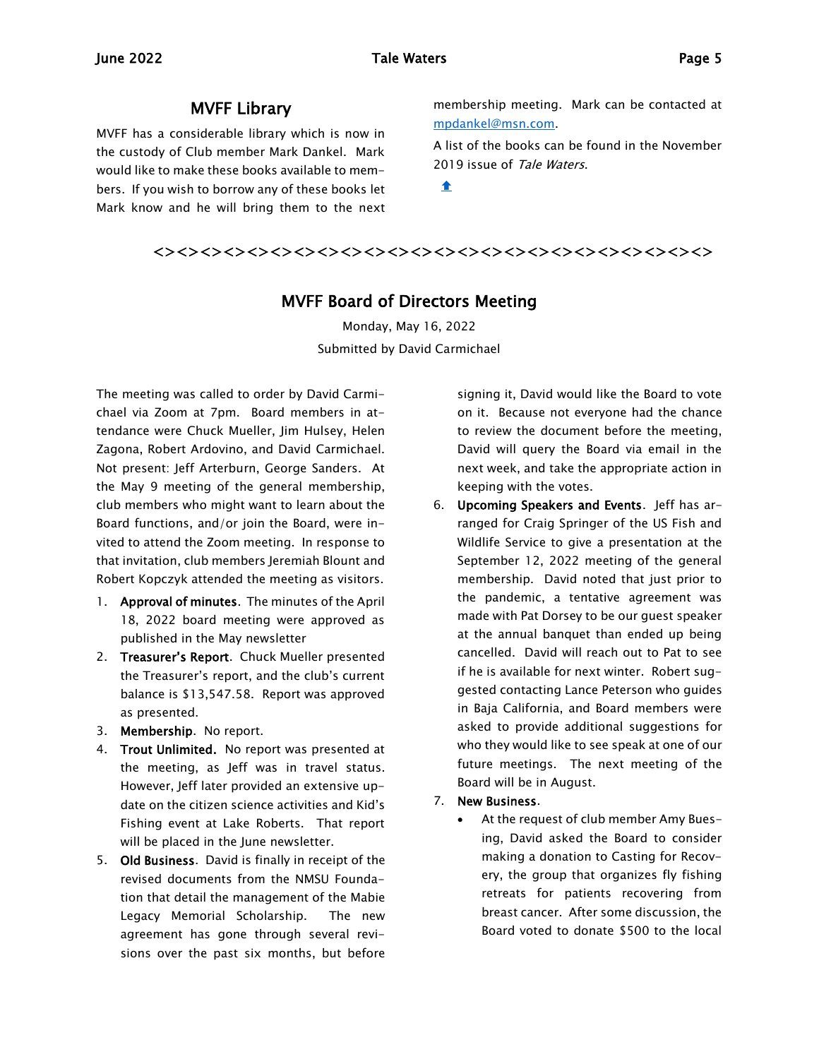## MVFF Library

<span id="page-4-0"></span>MVFF has a considerable library which is now in the custody of Club member Mark Dankel. Mark would like to make these books available to members. If you wish to borrow any of these books let Mark know and he will bring them to the next membership meeting. Mark can be contacted at [mpdankel@msn.com.](mailto:mpdankel@msn.com)

A list of the books can be found in the November 2019 issue of Tale Waters.

 $\bullet$ 

<span id="page-4-1"></span><><><><><><><><><><><><><><><><><><><><><><><><>

## MVFF Board of Directors Meeting

Monday, May 16, 2022 Submitted by David Carmichael

The meeting was called to order by David Carmichael via Zoom at 7pm. Board members in attendance were Chuck Mueller, Jim Hulsey, Helen Zagona, Robert Ardovino, and David Carmichael. Not present: Jeff Arterburn, George Sanders. At the May 9 meeting of the general membership, club members who might want to learn about the Board functions, and/or join the Board, were invited to attend the Zoom meeting. In response to that invitation, club members Jeremiah Blount and Robert Kopczyk attended the meeting as visitors.

- 1. Approval of minutes. The minutes of the April 18, 2022 board meeting were approved as published in the May newsletter
- 2. Treasurer's Report. Chuck Mueller presented the Treasurer's report, and the club's current balance is \$13,547.58. Report was approved as presented.
- 3. Membership. No report.
- 4. Trout Unlimited. No report was presented at the meeting, as Jeff was in travel status. However, Jeff later provided an extensive update on the citizen science activities and Kid's Fishing event at Lake Roberts. That report will be placed in the June newsletter.
- 5. Old Business. David is finally in receipt of the revised documents from the NMSU Foundation that detail the management of the Mabie Legacy Memorial Scholarship. The new agreement has gone through several revisions over the past six months, but before

signing it, David would like the Board to vote on it. Because not everyone had the chance to review the document before the meeting, David will query the Board via email in the next week, and take the appropriate action in keeping with the votes.

- 6. Upcoming Speakers and Events. Jeff has arranged for Craig Springer of the US Fish and Wildlife Service to give a presentation at the September 12, 2022 meeting of the general membership. David noted that just prior to the pandemic, a tentative agreement was made with Pat Dorsey to be our guest speaker at the annual banquet than ended up being cancelled. David will reach out to Pat to see if he is available for next winter. Robert suggested contacting Lance Peterson who guides in Baja California, and Board members were asked to provide additional suggestions for who they would like to see speak at one of our future meetings. The next meeting of the Board will be in August.
- 7. New Business.
	- At the request of club member Amy Buesing, David asked the Board to consider making a donation to Casting for Recovery, the group that organizes fly fishing retreats for patients recovering from breast cancer. After some discussion, the Board voted to donate \$500 to the local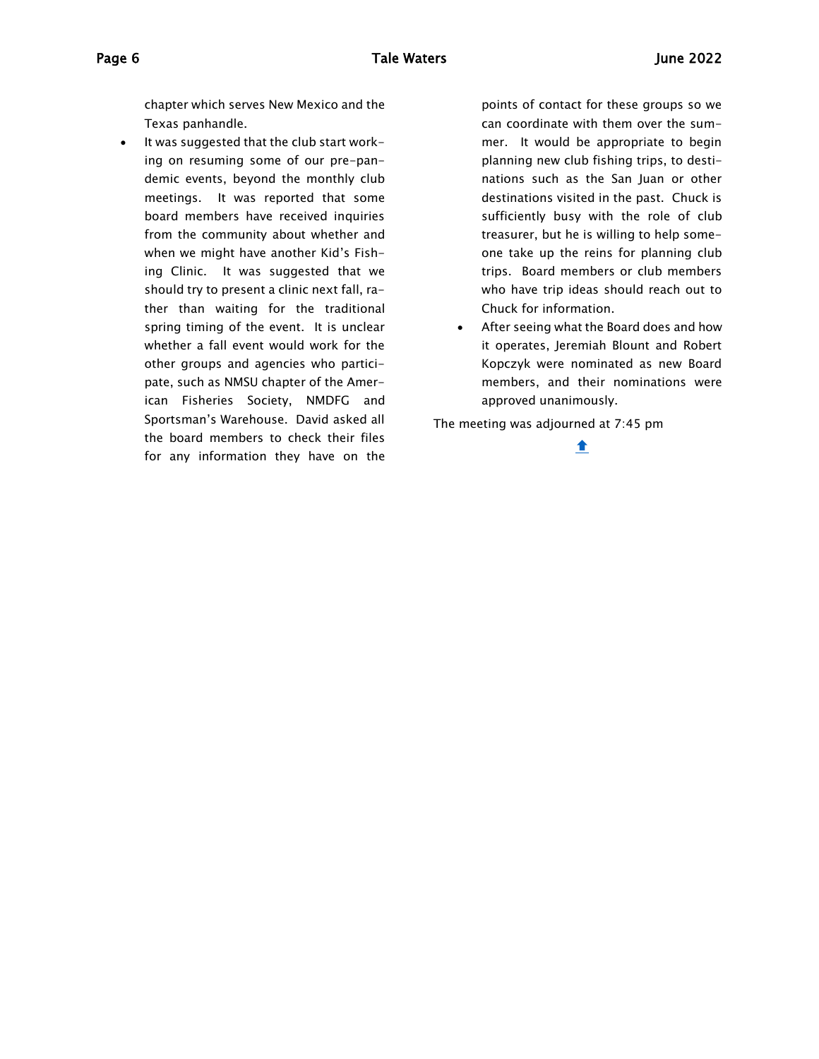chapter which serves New Mexico and the Texas panhandle.

• It was suggested that the club start working on resuming some of our pre-pandemic events, beyond the monthly club meetings. It was reported that some board members have received inquiries from the community about whether and when we might have another Kid's Fishing Clinic. It was suggested that we should try to present a clinic next fall, rather than waiting for the traditional spring timing of the event. It is unclear whether a fall event would work for the other groups and agencies who participate, such as NMSU chapter of the American Fisheries Society, NMDFG and Sportsman's Warehouse. David asked all the board members to check their files for any information they have on the

points of contact for these groups so we can coordinate with them over the summer. It would be appropriate to begin planning new club fishing trips, to destinations such as the San Juan or other destinations visited in the past. Chuck is sufficiently busy with the role of club treasurer, but he is willing to help someone take up the reins for planning club trips. Board members or club members who have trip ideas should reach out to Chuck for information.

• After seeing what the Board does and how it operates, Jeremiah Blount and Robert Kopczyk were nominated as new Board members, and their nominations were approved unanimously.

The meeting was adjourned at 7:45 pm

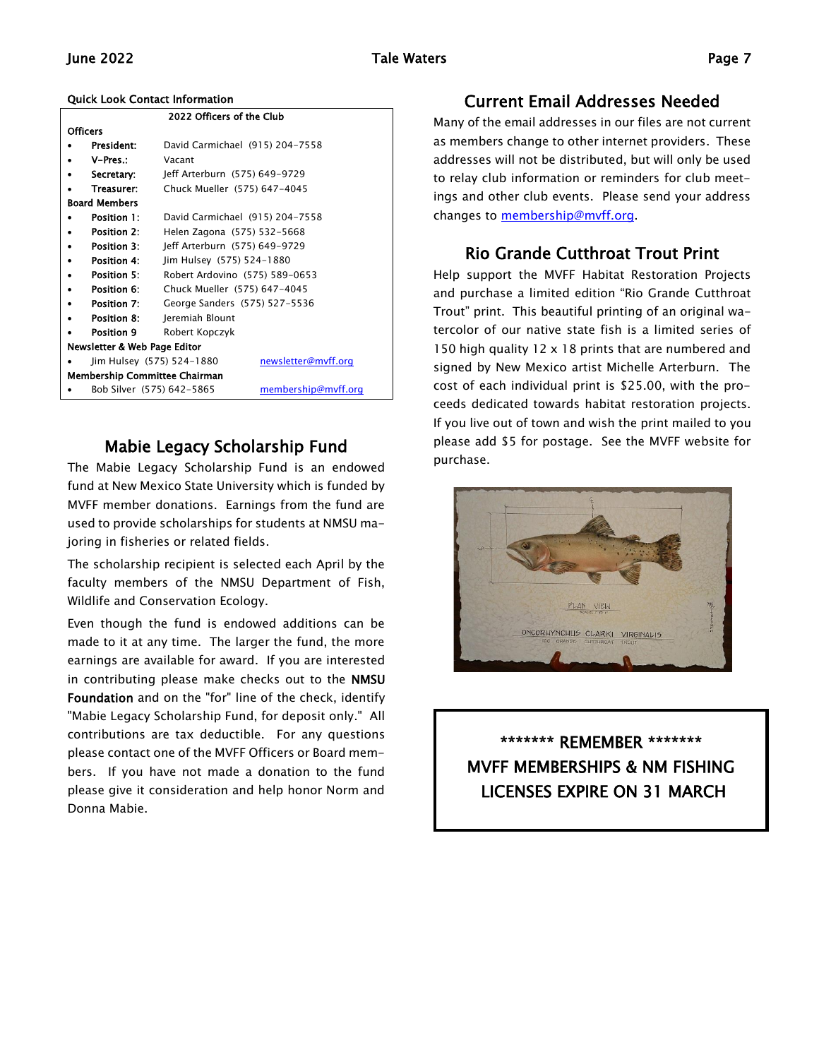### June 2022 Tale Waters Page 7

#### Quick Look Contact Information

| 2022 Officers of the Club               |                           |                                 |                     |  |
|-----------------------------------------|---------------------------|---------------------------------|---------------------|--|
| Officers                                |                           |                                 |                     |  |
|                                         | President:                | David Carmichael (915) 204-7558 |                     |  |
|                                         | V-Pres.:                  | Vacant                          |                     |  |
|                                         | Secretary:                | Jeff Arterburn (575) 649-9729   |                     |  |
|                                         | Treasurer:                | Chuck Mueller (575) 647-4045    |                     |  |
| <b>Board Members</b>                    |                           |                                 |                     |  |
|                                         | Position 1:               | David Carmichael (915) 204-7558 |                     |  |
|                                         | Position 2:               | Helen Zagona (575) 532-5668     |                     |  |
|                                         | Position 3:               | Jeff Arterburn (575) 649-9729   |                     |  |
|                                         | Position 4:               | Jim Hulsey (575) 524-1880       |                     |  |
|                                         | Position 5:               | Robert Ardovino (575) 589-0653  |                     |  |
|                                         | Position 6:               | Chuck Mueller (575) 647-4045    |                     |  |
|                                         | Position 7:               | George Sanders (575) 527-5536   |                     |  |
|                                         | Position 8:               | Jeremiah Blount                 |                     |  |
|                                         | Position 9                | Robert Kopczyk                  |                     |  |
| <b>Newsletter &amp; Web Page Editor</b> |                           |                                 |                     |  |
|                                         | Jim Hulsey (575) 524-1880 |                                 | newsletter@mvff.org |  |
| <b>Membership Committee Chairman</b>    |                           |                                 |                     |  |
|                                         | Bob Silver (575) 642-5865 |                                 | membership@mvff.org |  |

## Mabie Legacy Scholarship Fund

The Mabie Legacy Scholarship Fund is an endowed fund at New Mexico State University which is funded by MVFF member donations. Earnings from the fund are used to provide scholarships for students at NMSU majoring in fisheries or related fields.

The scholarship recipient is selected each April by the faculty members of the NMSU Department of Fish, Wildlife and Conservation Ecology.

Even though the fund is endowed additions can be made to it at any time. The larger the fund, the more earnings are available for award. If you are interested in contributing please make checks out to the NMSU Foundation and on the "for" line of the check, identify "Mabie Legacy Scholarship Fund, for deposit only." All contributions are tax deductible. For any questions please contact one of the MVFF Officers or Board members. If you have not made a donation to the fund please give it consideration and help honor Norm and Donna Mabie.

# Current Email Addresses Needed

Many of the email addresses in our files are not current as members change to other internet providers. These addresses will not be distributed, but will only be used to relay club information or reminders for club meetings and other club events. Please send your address changes to [membership@mvff.org.](mailto:membership@mvff.org)

# Rio Grande Cutthroat Trout Print

Help support the MVFF Habitat Restoration Projects and purchase a limited edition "Rio Grande Cutthroat Trout" print. This beautiful printing of an original watercolor of our native state fish is a limited series of 150 high quality 12 x 18 prints that are numbered and signed by New Mexico artist Michelle Arterburn. The cost of each individual print is \$25.00, with the proceeds dedicated towards habitat restoration projects. If you live out of town and wish the print mailed to you please add \$5 for postage. See the MVFF website for purchase.



\*\*\*\*\*\*\* REMEMBER \*\*\*\*\*\*\* MVFF MEMBERSHIPS & NM FISHING LICENSES EXPIRE ON 31 MARCH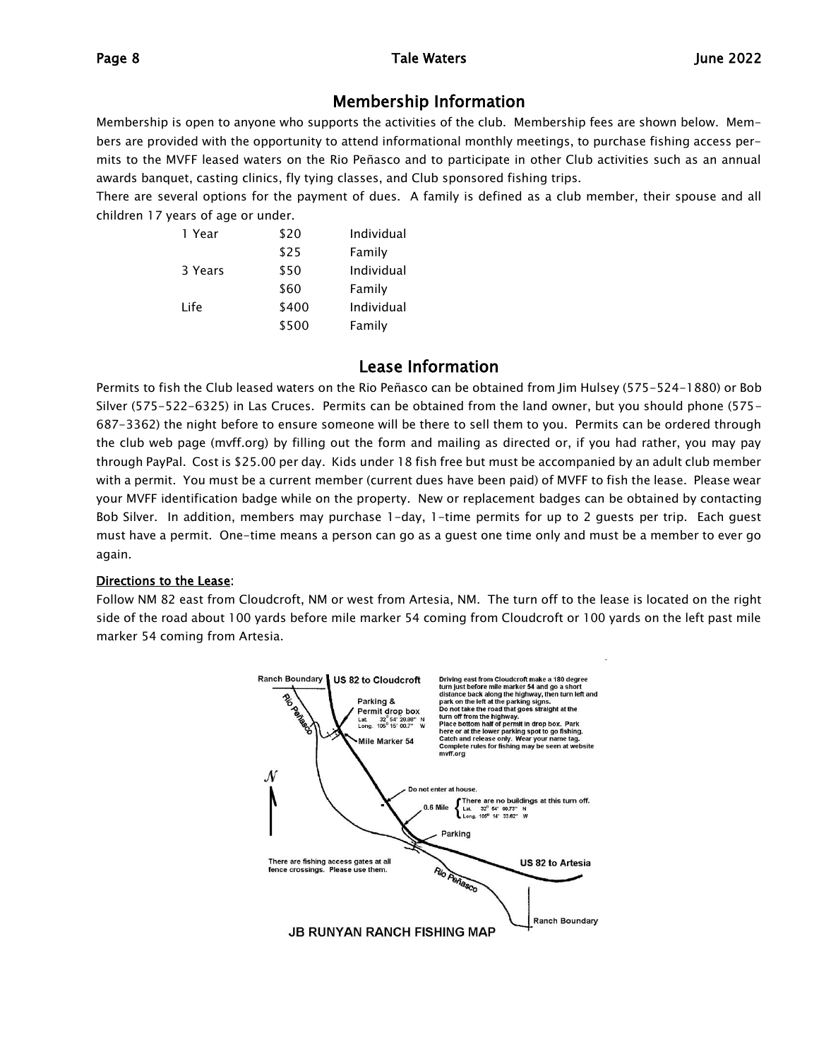# Membership Information

Membership is open to anyone who supports the activities of the club. Membership fees are shown below. Members are provided with the opportunity to attend informational monthly meetings, to purchase fishing access permits to the MVFF leased waters on the Rio Peñasco and to participate in other Club activities such as an annual awards banquet, casting clinics, fly tying classes, and Club sponsored fishing trips.

There are several options for the payment of dues. A family is defined as a club member, their spouse and all children 17 years of age or under.

| 1 Year  | \$20  | Individual |
|---------|-------|------------|
|         | \$25  | Family     |
| 3 Years | \$50  | Individual |
|         | \$60  | Family     |
| I ife   | \$400 | Individual |
|         | \$500 | Family     |

# Lease Information

Permits to fish the Club leased waters on the Rio Peñasco can be obtained from Jim Hulsey (575-524-1880) or Bob Silver (575-522-6325) in Las Cruces. Permits can be obtained from the land owner, but you should phone (575- 687-3362) the night before to ensure someone will be there to sell them to you. Permits can be ordered through the club web page (mvff.org) by filling out the form and mailing as directed or, if you had rather, you may pay through PayPal. Cost is \$25.00 per day. Kids under 18 fish free but must be accompanied by an adult club member with a permit. You must be a current member (current dues have been paid) of MVFF to fish the lease. Please wear your MVFF identification badge while on the property. New or replacement badges can be obtained by contacting Bob Silver. In addition, members may purchase 1-day, 1-time permits for up to 2 guests per trip. Each guest must have a permit. One-time means a person can go as a guest one time only and must be a member to ever go again.

#### Directions to the Lease:

Follow NM 82 east from Cloudcroft, NM or west from Artesia, NM. The turn off to the lease is located on the right side of the road about 100 yards before mile marker 54 coming from Cloudcroft or 100 yards on the left past mile marker 54 coming from Artesia.